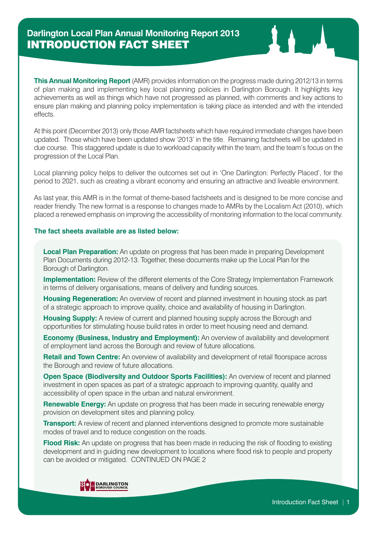**This Annual Monitoring Report** (AMR) provides information on the progress made during 2012/13 in terms of plan making and implementing key local planning policies in Darlington Borough. It highlights key achievements as well as things which have not progressed as planned, with comments and key actions to ensure plan making and planning policy implementation is taking place as intended and with the intended effects.

At this point (December 2013) only those AMR factsheets which have required immediate changes have been updated. Those which have been updated show '2013' in the title. Remaining factsheets will be updated in due course. This staggered update is due to workload capacity within the team, and the team's focus on the progression of the Local Plan.

Local planning policy helps to deliver the outcomes set out in 'One Darlington: Perfectly Placed', for the period to 2021, such as creating a vibrant economy and ensuring an attractive and liveable environment.

As last year, this AMR is in the format of theme-based factsheets and is designed to be more concise and reader friendly. The new format is a response to changes made to AMRs by the Localism Act (2010), which placed a renewed emphasis on improving the accessibility of monitoring information to the local community.

#### **The fact sheets available are as listed below:**

**Local Plan Preparation:** An update on progress that has been made in preparing Development Plan Documents during 2012-13. Together, these documents make up the Local Plan for the Borough of Darlington.

**Implementation:** Review of the different elements of the Core Strategy Implementation Framework in terms of delivery organisations, means of delivery and funding sources.

**Housing Regeneration:** An overview of recent and planned investment in housing stock as part of a strategic approach to improve quality, choice and availability of housing in Darlington.

**Housing Supply:** A review of current and planned housing supply across the Borough and opportunities for stimulating house build rates in order to meet housing need and demand.

**Economy (Business, Industry and Employment):** An overview of availability and development of employment land across the Borough and review of future allocations.

**Retail and Town Centre:** An overview of availability and development of retail floorspace across the Borough and review of future allocations.

**Open Space (Biodiversity and Outdoor Sports Facilities):** An overview of recent and planned investment in open spaces as part of a strategic approach to improving quantity, quality and accessibility of open space in the urban and natural environment.

**Renewable Energy:** An update on progress that has been made in securing renewable energy provision on development sites and planning policy.

**Transport:** A review of recent and planned interventions designed to promote more sustainable modes of travel and to reduce congestion on the roads.

**Flood Risk:** An update on progress that has been made in reducing the risk of flooding to existing development and in guiding new development to locations where flood risk to people and property can be avoided or mitigated. CONTINUED ON PAGE 2

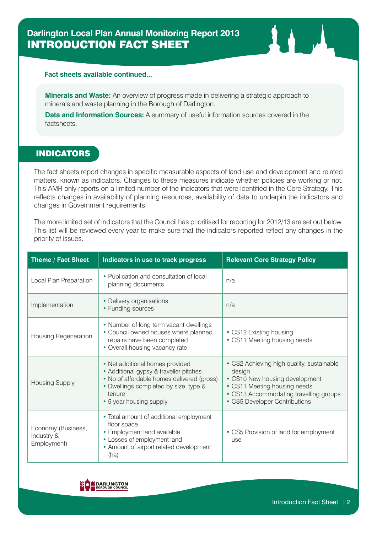# **Darlington Local Plan Annual Monitoring Report 2013** INTRODUCTION FACT SHEET

#### **Fact sheets available continued...**

**Minerals and Waste:** An overview of progress made in delivering a strategic approach to minerals and waste planning in the Borough of Darlington.

**Data and Information Sources:** A summary of useful information sources covered in the factsheets.

### INDICATORS

The fact sheets report changes in specific measurable aspects of land use and development and related matters, known as indicators. Changes to these measures indicate whether policies are working or not. This AMR only reports on a limited number of the indicators that were identified in the Core Strategy. This reflects changes in availability of planning resources, availability of data to underpin the indicators and changes in Government requirements.

The more limited set of indicators that the Council has prioritised for reporting for 2012/13 are set out below. This list will be reviewed every year to make sure that the indicators reported reflect any changes in the priority of issues.

| Theme / Fact Sheet                              | <b>Indicators in use to track progress</b>                                                                                                                                                            | <b>Relevant Core Strategy Policy</b>                                                                                                                                                             |
|-------------------------------------------------|-------------------------------------------------------------------------------------------------------------------------------------------------------------------------------------------------------|--------------------------------------------------------------------------------------------------------------------------------------------------------------------------------------------------|
| Local Plan Preparation                          | • Publication and consultation of local<br>planning documents                                                                                                                                         | n/a                                                                                                                                                                                              |
| Implementation                                  | • Delivery organisations<br>• Funding sources                                                                                                                                                         | n/a                                                                                                                                                                                              |
| Housing Regeneration                            | • Number of long term vacant dwellings<br>• Council owned houses where planned<br>repairs have been completed<br>• Overall housing vacancy rate                                                       | • CS12 Existing housing<br>• CS11 Meeting housing needs                                                                                                                                          |
| <b>Housing Supply</b>                           | • Net additional homes provided<br>• Additional gypsy & traveller pitches<br>• No of affordable homes delivered (gross)<br>• Dwellings completed by size, type &<br>tenure<br>• 5 year housing supply | • CS2 Achieving high quality, sustainable<br>design<br>• CS10 New housing development<br>• CS11 Meeting housing needs<br>• CS13 Accommodating travelling groups<br>• CS5 Developer Contributions |
| Economy (Business,<br>Industry &<br>Employment) | • Total amount of additional employment<br>floor space<br>• Employment land available<br>• Losses of employment land<br>• Amount of airport related development<br>(ha)                               | • CS5 Provision of land for employment<br>use                                                                                                                                                    |